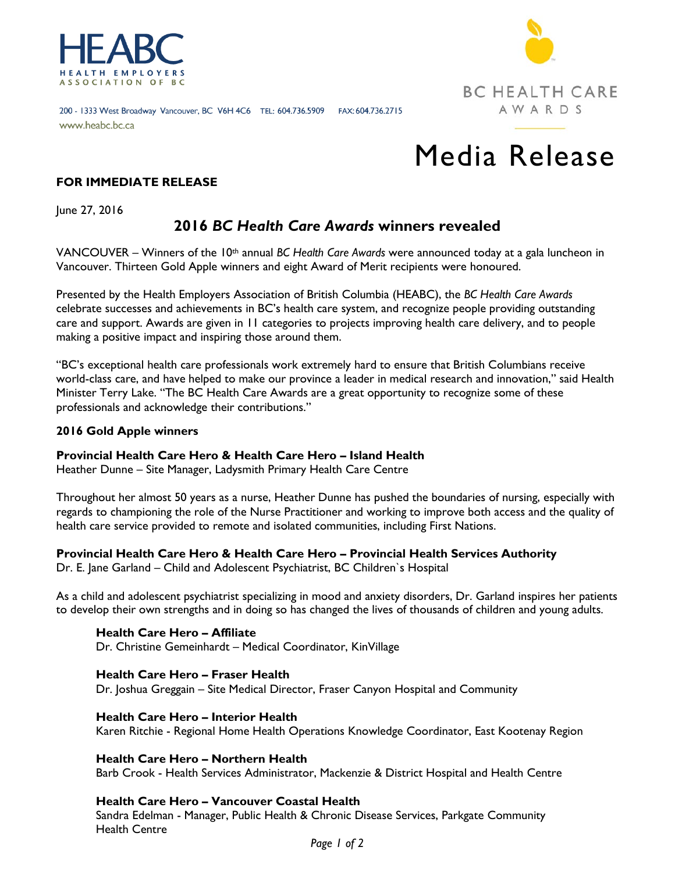

**BC HEALTH CARE** AWARDS

#### 200 - 1333 West Broadway Vancouver, BC V6H 4C6 TEL: 604.736.5909 FAX: 604.736.2715 www.heabc.bc.ca

# Media Release

# **FOR IMMEDIATE RELEASE**

June 27, 2016

# **2016** *BC Health Care Awards* **winners revealed**

VANCOUVER – Winners of the 10th annual *BC Health Care Awards* were announced today at a gala luncheon in Vancouver. Thirteen Gold Apple winners and eight Award of Merit recipients were honoured.

Presented by the Health Employers Association of British Columbia (HEABC), the *BC Health Care Awards*  celebrate successes and achievements in BC's health care system, and recognize people providing outstanding care and support. Awards are given in 11 categories to projects improving health care delivery, and to people making a positive impact and inspiring those around them.

"BC's exceptional health care professionals work extremely hard to ensure that British Columbians receive world-class care, and have helped to make our province a leader in medical research and innovation," said Health Minister Terry Lake. "The BC Health Care Awards are a great opportunity to recognize some of these professionals and acknowledge their contributions."

#### **2016 Gold Apple winners**

#### **Provincial Health Care Hero & Health Care Hero – Island Health**

Heather Dunne – Site Manager, Ladysmith Primary Health Care Centre

Throughout her almost 50 years as a nurse, Heather Dunne has pushed the boundaries of nursing, especially with regards to championing the role of the Nurse Practitioner and working to improve both access and the quality of health care service provided to remote and isolated communities, including First Nations.

#### **Provincial Health Care Hero & Health Care Hero – Provincial Health Services Authority**

Dr. E. Jane Garland – Child and Adolescent Psychiatrist, BC Children`s Hospital

As a child and adolescent psychiatrist specializing in mood and anxiety disorders, Dr. Garland inspires her patients to develop their own strengths and in doing so has changed the lives of thousands of children and young adults.

**Health Care Hero – Affiliate** Dr. Christine Gemeinhardt – Medical Coordinator, KinVillage

**Health Care Hero – Fraser Health** Dr. Joshua Greggain – Site Medical Director, Fraser Canyon Hospital and Community

#### **Health Care Hero – Interior Health**

Karen Ritchie - Regional Home Health Operations Knowledge Coordinator, East Kootenay Region

#### **Health Care Hero – Northern Health**

Barb Crook - Health Services Administrator, Mackenzie & District Hospital and Health Centre

#### **Health Care Hero – Vancouver Coastal Health**

Sandra Edelman - Manager, Public Health & Chronic Disease Services, Parkgate Community Health Centre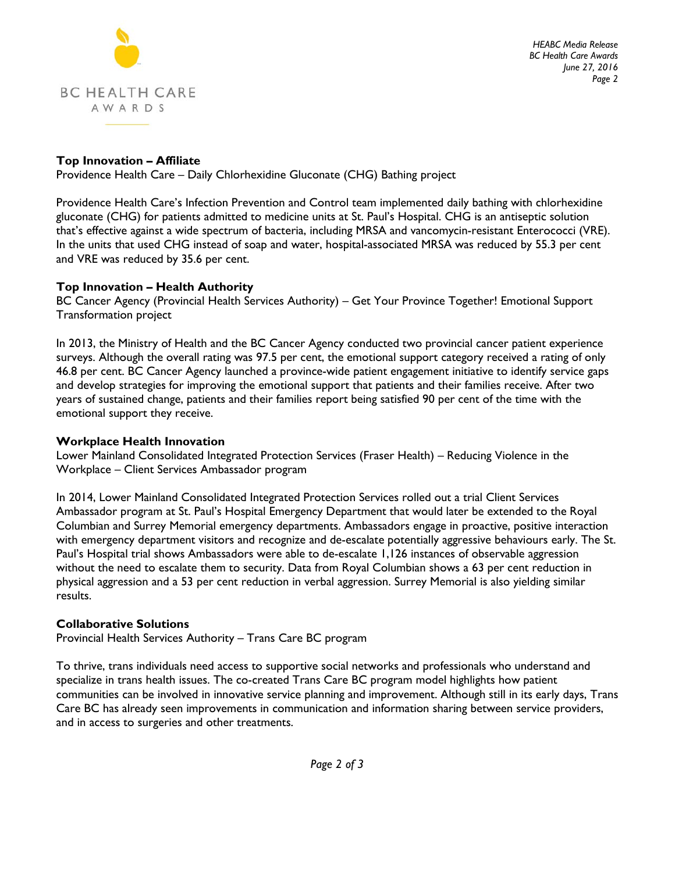

*HEABC Media Release BC Health Care Awards June 27, 2016 Page 2*

# **Top Innovation – Affiliate**

Providence Health Care – Daily Chlorhexidine Gluconate (CHG) Bathing project

Providence Health Care's Infection Prevention and Control team implemented daily bathing with chlorhexidine gluconate (CHG) for patients admitted to medicine units at St. Paul's Hospital. CHG is an antiseptic solution that's effective against a wide spectrum of bacteria, including MRSA and vancomycin-resistant Enterococci (VRE). In the units that used CHG instead of soap and water, hospital-associated MRSA was reduced by 55.3 per cent and VRE was reduced by 35.6 per cent.

# **Top Innovation – Health Authority**

BC Cancer Agency (Provincial Health Services Authority) – Get Your Province Together! Emotional Support Transformation project

In 2013, the Ministry of Health and the BC Cancer Agency conducted two provincial cancer patient experience surveys. Although the overall rating was 97.5 per cent, the emotional support category received a rating of only 46.8 per cent. BC Cancer Agency launched a province-wide patient engagement initiative to identify service gaps and develop strategies for improving the emotional support that patients and their families receive. After two years of sustained change, patients and their families report being satisfied 90 per cent of the time with the emotional support they receive.

## **Workplace Health Innovation**

Lower Mainland Consolidated Integrated Protection Services (Fraser Health) – Reducing Violence in the Workplace – Client Services Ambassador program

In 2014, Lower Mainland Consolidated Integrated Protection Services rolled out a trial Client Services Ambassador program at St. Paul's Hospital Emergency Department that would later be extended to the Royal Columbian and Surrey Memorial emergency departments. Ambassadors engage in proactive, positive interaction with emergency department visitors and recognize and de-escalate potentially aggressive behaviours early. The St. Paul's Hospital trial shows Ambassadors were able to de-escalate 1,126 instances of observable aggression without the need to escalate them to security. Data from Royal Columbian shows a 63 per cent reduction in physical aggression and a 53 per cent reduction in verbal aggression. Surrey Memorial is also yielding similar results.

# **Collaborative Solutions**

Provincial Health Services Authority – Trans Care BC program

To thrive, trans individuals need access to supportive social networks and professionals who understand and specialize in trans health issues. The co-created Trans Care BC program model highlights how patient communities can be involved in innovative service planning and improvement. Although still in its early days, Trans Care BC has already seen improvements in communication and information sharing between service providers, and in access to surgeries and other treatments.